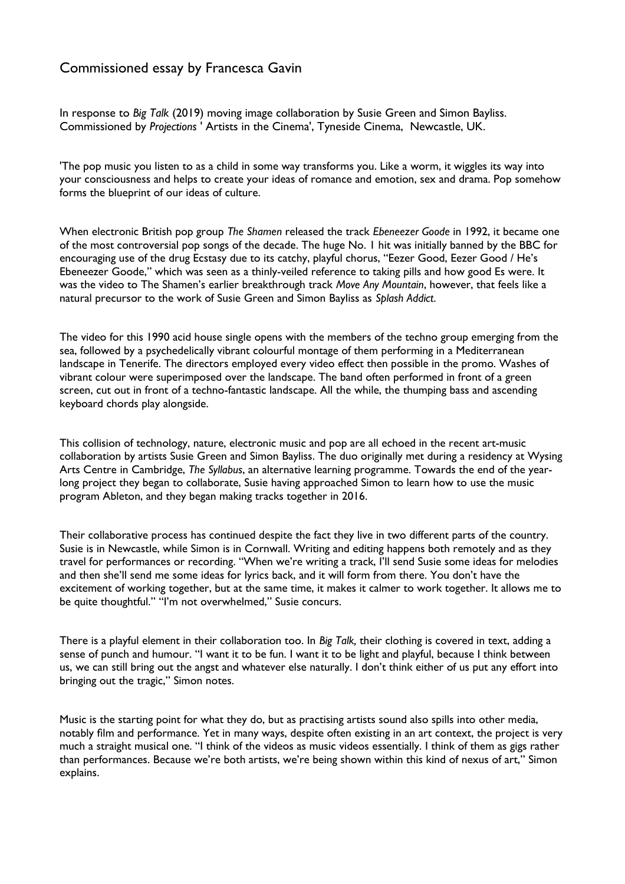## Commissioned essay by Francesca Gavin

In response to *Big Talk* (2019) moving image collaboration by Susie Green and Simon Bayliss. Commissioned by *Projections* ' Artists in the Cinema', Tyneside Cinema, Newcastle, UK.

'The pop music you listen to as a child in some way transforms you. Like a worm, it wiggles its way into your consciousness and helps to create your ideas of romance and emotion, sex and drama. Pop somehow forms the blueprint of our ideas of culture.

When electronic British pop group *The Shamen* released the track *Ebeneezer Goode* in 1992, it became one of the most controversial pop songs of the decade. The huge No. 1 hit was initially banned by the BBC for encouraging use of the drug Ecstasy due to its catchy, playful chorus, "Eezer Good, Eezer Good / He's Ebeneezer Goode," which was seen as a thinly-veiled reference to taking pills and how good Es were. It was the video to The Shamen's earlier breakthrough track *Move Any Mountain*, however, that feels like a natural precursor to the work of Susie Green and Simon Bayliss as *Splash Addict*.

The video for this 1990 acid house single opens with the members of the techno group emerging from the sea, followed by a psychedelically vibrant colourful montage of them performing in a Mediterranean landscape in Tenerife. The directors employed every video effect then possible in the promo. Washes of vibrant colour were superimposed over the landscape. The band often performed in front of a green screen, cut out in front of a techno-fantastic landscape. All the while, the thumping bass and ascending keyboard chords play alongside.

This collision of technology, nature, electronic music and pop are all echoed in the recent art-music collaboration by artists Susie Green and Simon Bayliss. The duo originally met during a residency at Wysing Arts Centre in Cambridge, *The Syllabus*, an alternative learning programme. Towards the end of the yearlong project they began to collaborate, Susie having approached Simon to learn how to use the music program Ableton, and they began making tracks together in 2016.

Their collaborative process has continued despite the fact they live in two different parts of the country. Susie is in Newcastle, while Simon is in Cornwall. Writing and editing happens both remotely and as they travel for performances or recording. "When we're writing a track, I'll send Susie some ideas for melodies and then she'll send me some ideas for lyrics back, and it will form from there. You don't have the excitement of working together, but at the same time, it makes it calmer to work together. It allows me to be quite thoughtful." "I'm not overwhelmed," Susie concurs.

There is a playful element in their collaboration too. In *Big Talk,* their clothing is covered in text, adding a sense of punch and humour. "I want it to be fun. I want it to be light and playful, because I think between us, we can still bring out the angst and whatever else naturally. I don't think either of us put any effort into bringing out the tragic," Simon notes.

Music is the starting point for what they do, but as practising artists sound also spills into other media, notably flm and performance. Yet in many ways, despite often existing in an art context, the project is very much a straight musical one. "I think of the videos as music videos essentially. I think of them as gigs rather than performances. Because we're both artists, we're being shown within this kind of nexus of art," Simon explains.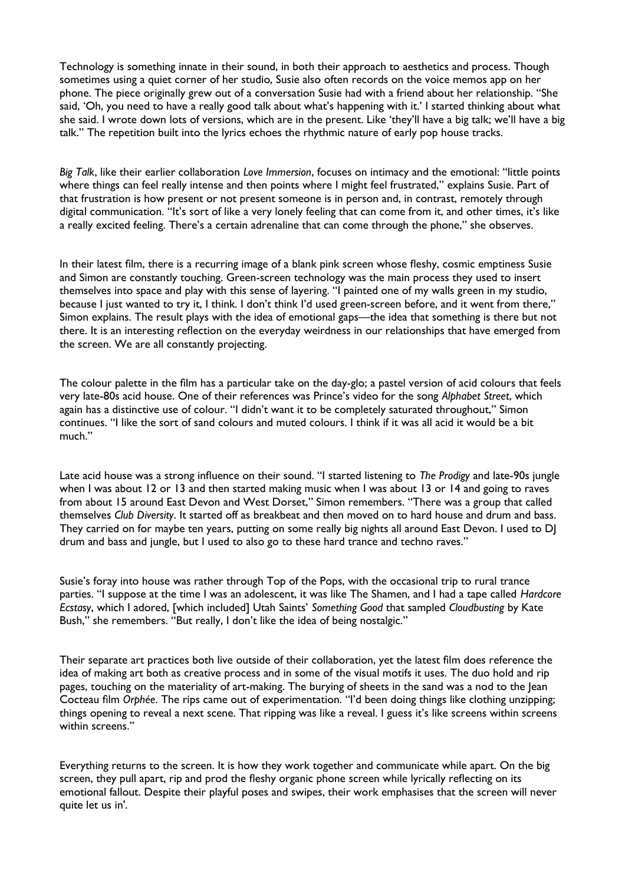Technology is something innate in their sound, in both their approach to aesthetics and process. Though sometimes using a quiet corner of her studio, Susie also often records on the voice memos app on her phone. The piece originally grew out of a conversation Susie had with a friend about her relationship. "She said, 'Oh, you need to have a really good talk about what's happening with it.' I started thinking about what she said. I wrote down lots of versions, which are in the present. Like 'they'll have a big talk; we'll have a big talk." The repetition built into the lyrics echoes the rhythmic nature of early pop house tracks.

*Big Talk*, like their earlier collaboration *Love Immersion*, focuses on intimacy and the emotional: "little points where things can feel really intense and then points where I might feel frustrated," explains Susie. Part of that frustration is how present or not present someone is in person and, in contrast, remotely through digital communication. "It's sort of like a very lonely feeling that can come from it, and other times, it's like a really excited feeling. There's a certain adrenaline that can come through the phone," she observes.

In their latest flm, there is a recurring image of a blank pink screen whose feshy, cosmic emptiness Susie and Simon are constantly touching. Green-screen technology was the main process they used to insert themselves into space and play with this sense of layering. "I painted one of my walls green in my studio, because I just wanted to try it, I think. I don't think I'd used green-screen before, and it went from there," Simon explains. The result plays with the idea of emotional gaps—the idea that something is there but not there. It is an interesting reflection on the everyday weirdness in our relationships that have emerged from the screen. We are all constantly projecting.

The colour palette in the flm has a particular take on the day-glo; a pastel version of acid colours that feels very late-80s acid house. One of their references was Prince's video for the song *Alphabet Street*, which again has a distinctive use of colour. "I didn't want it to be completely saturated throughout," Simon continues. "I like the sort of sand colours and muted colours. I think if it was all acid it would be a bit much."

Late acid house was a strong infuence on their sound. "I started listening to *The Prodigy* and late-90s jungle when I was about 12 or 13 and then started making music when I was about 13 or 14 and going to raves from about 15 around East Devon and West Dorset," Simon remembers. "There was a group that called themselves *Club Diversity*. It started off as breakbeat and then moved on to hard house and drum and bass. They carried on for maybe ten years, putting on some really big nights all around East Devon. I used to DJ drum and bass and jungle, but I used to also go to these hard trance and techno raves."

Susie's foray into house was rather through Top of the Pops, with the occasional trip to rural trance parties. "I suppose at the time I was an adolescent, it was like The Shamen, and I had a tape called *Hardcore Ecstasy*, which I adored, [which included] Utah Saints' *Something Good* that sampled *Cloudbusting* by Kate Bush," she remembers. "But really, I don't like the idea of being nostalgic."

Their separate art practices both live outside of their collaboration, yet the latest flm does reference the idea of making art both as creative process and in some of the visual motifs it uses. The duo hold and rip pages, touching on the materiality of art-making. The burying of sheets in the sand was a nod to the Jean Cocteau flm *Orphée*. The rips came out of experimentation. "I'd been doing things like clothing unzipping; things opening to reveal a next scene. That ripping was like a reveal. I guess it's like screens within screens within screens."

Everything returns to the screen. It is how they work together and communicate while apart. On the big screen, they pull apart, rip and prod the fleshy organic phone screen while lyrically reflecting on its emotional fallout. Despite their playful poses and swipes, their work emphasises that the screen will never quite let us in'.